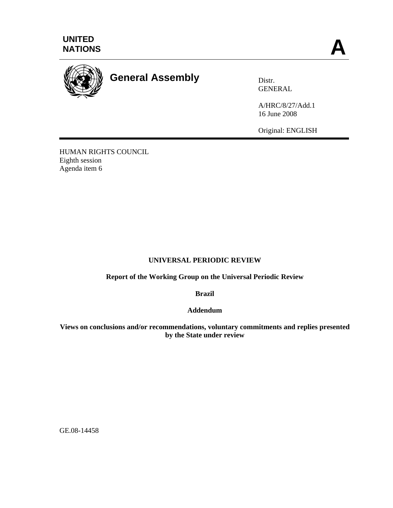



## **General Assembly** Distr.

GENERAL

A/HRC/8/27/Add.1 16 June 2008

Original: ENGLISH

HUMAN RIGHTS COUNCIL Eighth session Agenda item 6

## **UNIVERSAL PERIODIC REVIEW**

**Report of the Working Group on the Universal Periodic Review** 

**Brazil** 

**Addendum** 

**Views on conclusions and/or recommendations, voluntary commitments and replies presented by the State under review** 

GE.08-14458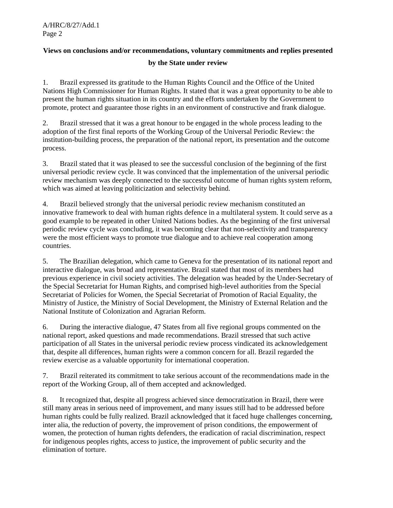## **Views on conclusions and/or recommendations, voluntary commitments and replies presented**

## **by the State under review**

1. Brazil expressed its gratitude to the Human Rights Council and the Office of the United Nations High Commissioner for Human Rights. It stated that it was a great opportunity to be able to present the human rights situation in its country and the efforts undertaken by the Government to promote, protect and guarantee those rights in an environment of constructive and frank dialogue.

2. Brazil stressed that it was a great honour to be engaged in the whole process leading to the adoption of the first final reports of the Working Group of the Universal Periodic Review: the institution-building process, the preparation of the national report, its presentation and the outcome process.

3. Brazil stated that it was pleased to see the successful conclusion of the beginning of the first universal periodic review cycle. It was convinced that the implementation of the universal periodic review mechanism was deeply connected to the successful outcome of human rights system reform, which was aimed at leaving politicization and selectivity behind.

4. Brazil believed strongly that the universal periodic review mechanism constituted an innovative framework to deal with human rights defence in a multilateral system. It could serve as a good example to be repeated in other United Nations bodies. As the beginning of the first universal periodic review cycle was concluding, it was becoming clear that non-selectivity and transparency were the most efficient ways to promote true dialogue and to achieve real cooperation among countries.

5. The Brazilian delegation, which came to Geneva for the presentation of its national report and interactive dialogue, was broad and representative. Brazil stated that most of its members had previous experience in civil society activities. The delegation was headed by the Under-Secretary of the Special Secretariat for Human Rights, and comprised high-level authorities from the Special Secretariat of Policies for Women, the Special Secretariat of Promotion of Racial Equality, the Ministry of Justice, the Ministry of Social Development, the Ministry of External Relation and the National Institute of Colonization and Agrarian Reform.

6. During the interactive dialogue, 47 States from all five regional groups commented on the national report, asked questions and made recommendations. Brazil stressed that such active participation of all States in the universal periodic review process vindicated its acknowledgement that, despite all differences, human rights were a common concern for all. Brazil regarded the review exercise as a valuable opportunity for international cooperation.

7. Brazil reiterated its commitment to take serious account of the recommendations made in the report of the Working Group, all of them accepted and acknowledged.

8. It recognized that, despite all progress achieved since democratization in Brazil, there were still many areas in serious need of improvement, and many issues still had to be addressed before human rights could be fully realized. Brazil acknowledged that it faced huge challenges concerning, inter alia, the reduction of poverty, the improvement of prison conditions, the empowerment of women, the protection of human rights defenders, the eradication of racial discrimination, respect for indigenous peoples rights, access to justice, the improvement of public security and the elimination of torture.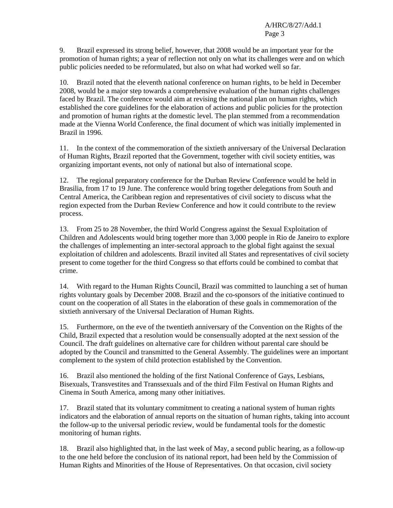9. Brazil expressed its strong belief, however, that 2008 would be an important year for the promotion of human rights; a year of reflection not only on what its challenges were and on which public policies needed to be reformulated, but also on what had worked well so far.

10. Brazil noted that the eleventh national conference on human rights, to be held in December 2008, would be a major step towards a comprehensive evaluation of the human rights challenges faced by Brazil. The conference would aim at revising the national plan on human rights, which established the core guidelines for the elaboration of actions and public policies for the protection and promotion of human rights at the domestic level. The plan stemmed from a recommendation made at the Vienna World Conference, the final document of which was initially implemented in Brazil in 1996.

11. In the context of the commemoration of the sixtieth anniversary of the Universal Declaration of Human Rights, Brazil reported that the Government, together with civil society entities, was organizing important events, not only of national but also of international scope.

12. The regional preparatory conference for the Durban Review Conference would be held in Brasilia, from 17 to 19 June. The conference would bring together delegations from South and Central America, the Caribbean region and representatives of civil society to discuss what the region expected from the Durban Review Conference and how it could contribute to the review process.

13. From 25 to 28 November, the third World Congress against the Sexual Exploitation of Children and Adolescents would bring together more than 3,000 people in Rio de Janeiro to explore the challenges of implementing an inter-sectoral approach to the global fight against the sexual exploitation of children and adolescents. Brazil invited all States and representatives of civil society present to come together for the third Congress so that efforts could be combined to combat that crime.

14. With regard to the Human Rights Council, Brazil was committed to launching a set of human rights voluntary goals by December 2008. Brazil and the co-sponsors of the initiative continued to count on the cooperation of all States in the elaboration of these goals in commemoration of the sixtieth anniversary of the Universal Declaration of Human Rights.

15. Furthermore, on the eve of the twentieth anniversary of the Convention on the Rights of the Child, Brazil expected that a resolution would be consensually adopted at the next session of the Council. The draft guidelines on alternative care for children without parental care should be adopted by the Council and transmitted to the General Assembly. The guidelines were an important complement to the system of child protection established by the Convention.

16. Brazil also mentioned the holding of the first National Conference of Gays, Lesbians, Bisexuals, Transvestites and Transsexuals and of the third Film Festival on Human Rights and Cinema in South America, among many other initiatives.

17. Brazil stated that its voluntary commitment to creating a national system of human rights indicators and the elaboration of annual reports on the situation of human rights, taking into account the follow-up to the universal periodic review, would be fundamental tools for the domestic monitoring of human rights.

18. Brazil also highlighted that, in the last week of May, a second public hearing, as a follow-up to the one held before the conclusion of its national report, had been held by the Commission of Human Rights and Minorities of the House of Representatives. On that occasion, civil society